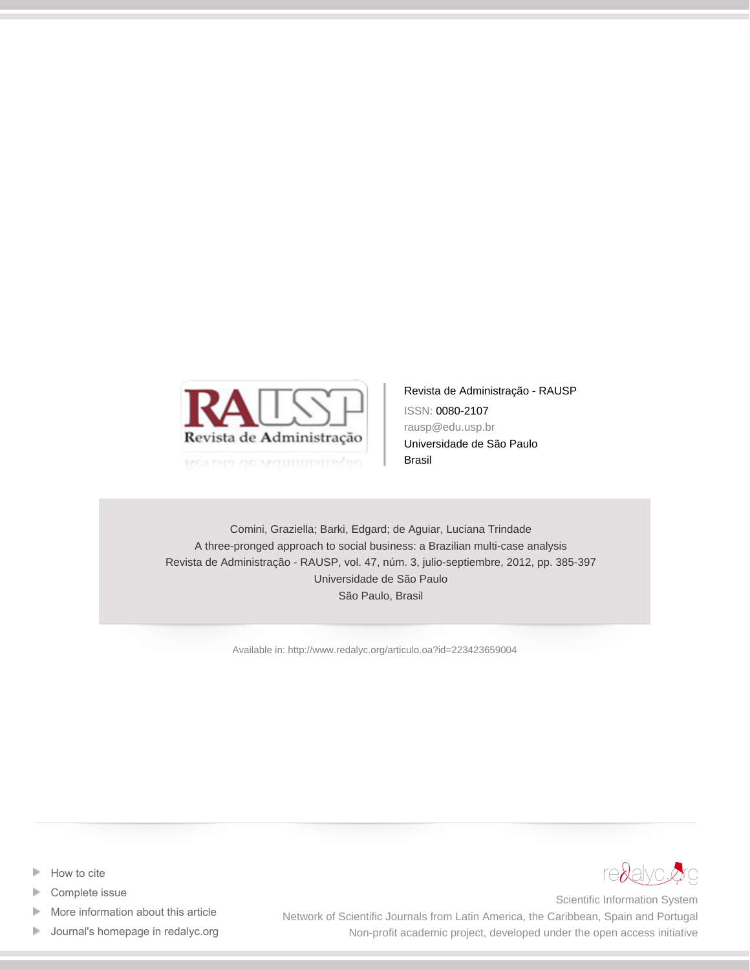

Revista de Administração - RAUSP ISSN: 0080-2107 rausp@edu.usp.br Universidade de São Paulo Brasil

Comini, Graziella; Barki, Edgard; de Aguiar, Luciana Trindade A three-pronged approach to social business: a Brazilian multi-case analysis Revista de Administração - RAUSP, vol. 47, núm. 3, julio-septiembre, 2012, pp. 385-397 Universidade de São Paulo São Paulo, Brasil

[Available in: http://www.redalyc.org/articulo.oa?id=223423659004](http://www.redalyc.org/articulo.oa?id=223423659004)

- [How to cite](http://www.redalyc.org/comocitar.oa?id=223423659004) Þ
- [Complete issue](http://www.redalyc.org/fasciculo.oa?id=2234&numero=23659)
- [More information about this article](http://www.redalyc.org/articulo.oa?id=223423659004) Þ
- [Journal's homepage in redalyc.org](http://www.redalyc.org/revista.oa?id=2234)  $\mathbb P$



Scientific Information System Network of Scientific Journals from Latin America, the Caribbean, Spain and Portugal Non-profit academic project, developed under the open access initiative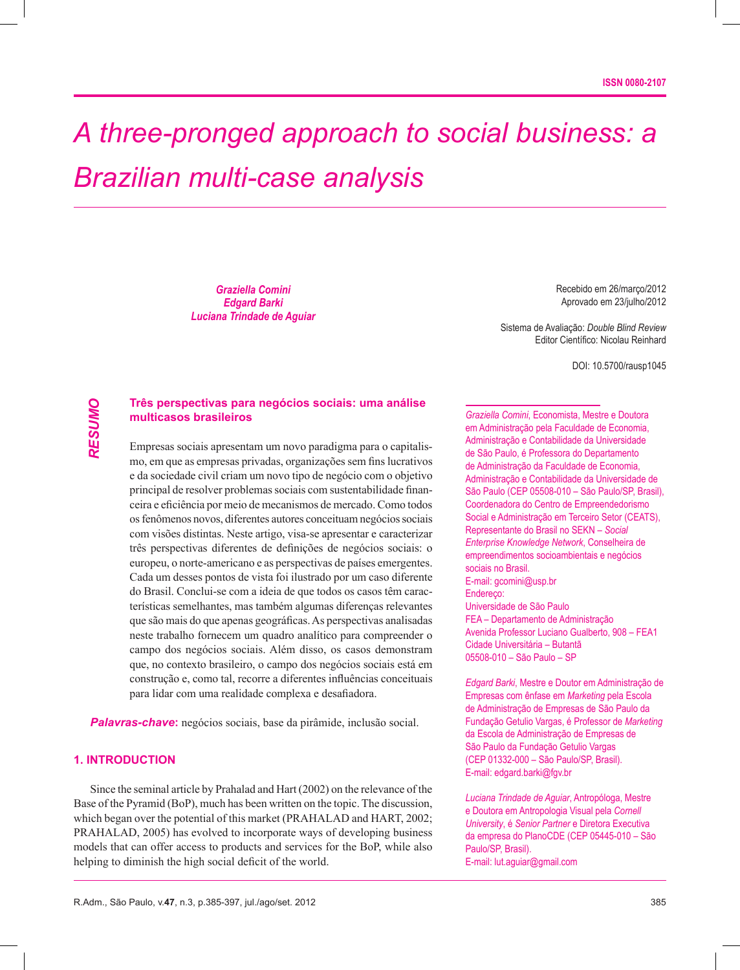# *A three-pronged approach to social business: a Brazilian multi-case analysis*

*Graziella Comini Edgard Barki Luciana Trindade de Aguiar* Recebido em 26/março/2012 Aprovado em 23/julho/2012

Sistema de Avaliação: *Double Blind Review* Editor Científico: Nicolau Reinhard

DOI: 10.5700/rausp1045

## **Três perspectivas para negócios sociais: uma análise multicasos brasileiros**

Empresas sociais apresentam um novo paradigma para o capitalismo, em que as empresas privadas, organizações sem fins lucrativos e da sociedade civil criam um novo tipo de negócio com o objetivo principal de resolver problemas sociais com sustentabilidade financeira e eficiência por meio de mecanismos de mercado. Como todos os fenômenos novos, diferentes autores conceituam negócios sociais com visões distintas. Neste artigo, visa-se apresentar e caracterizar três perspectivas diferentes de definições de negócios sociais: o europeu, o norte-americano e as perspectivas de países emergentes. Cada um desses pontos de vista foi ilustrado por um caso diferente do Brasil. Conclui-se com a ideia de que todos os casos têm características semelhantes, mas também algumas diferenças relevantes que são mais do que apenas geográficas. As perspectivas analisadas neste trabalho fornecem um quadro analítico para compreender o campo dos negócios sociais. Além disso, os casos demonstram que, no contexto brasileiro, o campo dos negócios sociais está em construção e, como tal, recorre a diferentes influências conceituais para lidar com uma realidade complexa e desafiadora.

*Palavras-chave***:** negócios sociais, base da pirâmide, inclusão social.

## **1. INTRODUCTION**

Since the seminal article by Prahalad and Hart (2002) on the relevance of the Base of the Pyramid (BoP), much has been written on the topic. The discussion, which began over the potential of this market (PRAHALAD and HART, 2002; PRAHALAD, 2005) has evolved to incorporate ways of developing business models that can offer access to products and services for the BoP, while also helping to diminish the high social deficit of the world.

*Graziella Comini*, Economista, Mestre e Doutora em Administração pela Faculdade de Economia, Administração e Contabilidade da Universidade de São Paulo, é Professora do Departamento de Administração da Faculdade de Economia, Administração e Contabilidade da Universidade de São Paulo (CEP 05508-010 – São Paulo/SP, Brasil), Coordenadora do Centro de Empreendedorismo Social e Administração em Terceiro Setor (CEATS), Representante do Brasil no SEKN – *Social Enterprise Knowledge Network*, Conselheira de empreendimentos socioambientais e negócios sociais no Brasil. E-mail: gcomini@usp.br Endereço: Universidade de São Paulo FEA – Departamento de Administração Avenida Professor Luciano Gualberto, 908 – FEA1 Cidade Universitária – Butantã 05508-010 – São Paulo – SP

*Edgard Barki*, Mestre e Doutor em Administração de Empresas com ênfase em *Marketing* pela Escola de Administração de Empresas de São Paulo da Fundação Getulio Vargas, é Professor de *Marketing* da Escola de Administração de Empresas de São Paulo da Fundação Getulio Vargas (CEP 01332-000 – São Paulo/SP, Brasil). E-mail: edgard.barki@fgv.br

*Luciana Trindade de Aguiar*, Antropóloga, Mestre e Doutora em Antropologia Visual pela *Cornell University*, é *Senior Partner* e Diretora Executiva da empresa do PlanoCDE (CEP 05445-010 – São Paulo/SP, Brasil). E-mail: lut.aguiar@gmail.com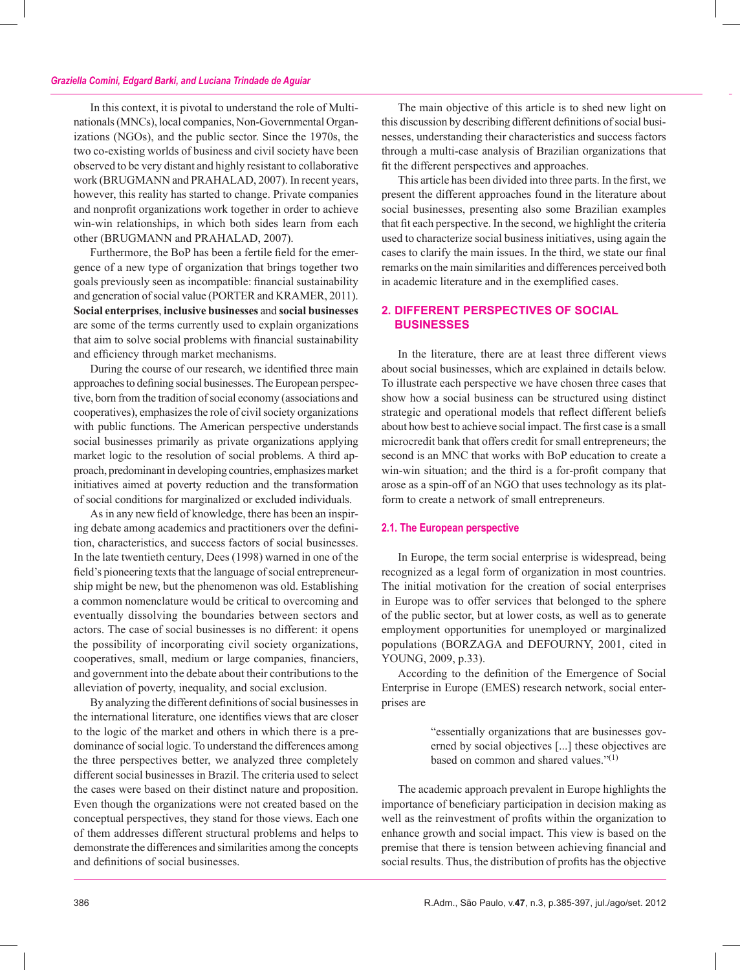In this context, it is pivotal to understand the role of Multinationals (MNCs), local companies, Non-Governmental Organizations (NGOs), and the public sector. Since the 1970s, the two co-existing worlds of business and civil society have been observed to be very distant and highly resistant to collaborative work (BRUGMANN and PRAHALAD, 2007). In recent years, however, this reality has started to change. Private companies and nonprofit organizations work together in order to achieve win-win relationships, in which both sides learn from each other (BRUGMANN and PRAHALAD, 2007).

Furthermore, the BoP has been a fertile field for the emergence of a new type of organization that brings together two goals previously seen as incompatible: financial sustainability and generation of social value (PORTER and KRAMER, 2011). **Social enterprises**, **inclusive businesses** and **social businesses** are some of the terms currently used to explain organizations that aim to solve social problems with financial sustainability and efficiency through market mechanisms.

During the course of our research, we identified three main approaches to defining social businesses. The European perspective, born from the tradition of social economy (associations and cooperatives), emphasizes the role of civil society organizations with public functions. The American perspective understands social businesses primarily as private organizations applying market logic to the resolution of social problems. A third approach, predominant in developing countries, emphasizes market initiatives aimed at poverty reduction and the transformation of social conditions for marginalized or excluded individuals.

As in any new field of knowledge, there has been an inspiring debate among academics and practitioners over the definition, characteristics, and success factors of social businesses. In the late twentieth century, Dees (1998) warned in one of the field's pioneering texts that the language of social entrepreneurship might be new, but the phenomenon was old. Establishing a common nomenclature would be critical to overcoming and eventually dissolving the boundaries between sectors and actors. The case of social businesses is no different: it opens the possibility of incorporating civil society organizations, cooperatives, small, medium or large companies, financiers, and government into the debate about their contributions to the alleviation of poverty, inequality, and social exclusion.

By analyzing the different definitions of social businesses in the international literature, one identifies views that are closer to the logic of the market and others in which there is a predominance of social logic. To understand the differences among the three perspectives better, we analyzed three completely different social businesses in Brazil. The criteria used to select the cases were based on their distinct nature and proposition. Even though the organizations were not created based on the conceptual perspectives, they stand for those views. Each one of them addresses different structural problems and helps to demonstrate the differences and similarities among the concepts and definitions of social businesses.

The main objective of this article is to shed new light on this discussion by describing different definitions of social businesses, understanding their characteristics and success factors through a multi-case analysis of Brazilian organizations that fit the different perspectives and approaches.

This article has been divided into three parts. In the first, we present the different approaches found in the literature about social businesses, presenting also some Brazilian examples that fit each perspective. In the second, we highlight the criteria used to characterize social business initiatives, using again the cases to clarify the main issues. In the third, we state our final remarks on the main similarities and differences perceived both in academic literature and in the exemplified cases.

# **2. DIFFERENT PERSPECTIVES OF SOCIAL BUSINESSES**

In the literature, there are at least three different views about social businesses, which are explained in details below. To illustrate each perspective we have chosen three cases that show how a social business can be structured using distinct strategic and operational models that reflect different beliefs about how best to achieve social impact. The first case is a small microcredit bank that offers credit for small entrepreneurs; the second is an MNC that works with BoP education to create a win-win situation; and the third is a for-profit company that arose as a spin-off of an NGO that uses technology as its platform to create a network of small entrepreneurs.

#### **2.1. The European perspective**

In Europe, the term social enterprise is widespread, being recognized as a legal form of organization in most countries. The initial motivation for the creation of social enterprises in Europe was to offer services that belonged to the sphere of the public sector, but at lower costs, as well as to generate employment opportunities for unemployed or marginalized populations (BORZAGA and DEFOURNY, 2001, cited in YOUNG, 2009, p.33).

According to the definition of the Emergence of Social Enterprise in Europe (EMES) research network, social enterprises are

> "essentially organizations that are businesses governed by social objectives [...] these objectives are based on common and shared values."<sup>(1)</sup>

The academic approach prevalent in Europe highlights the importance of beneficiary participation in decision making as well as the reinvestment of profits within the organization to enhance growth and social impact. This view is based on the premise that there is tension between achieving financial and social results. Thus, the distribution of profits has the objective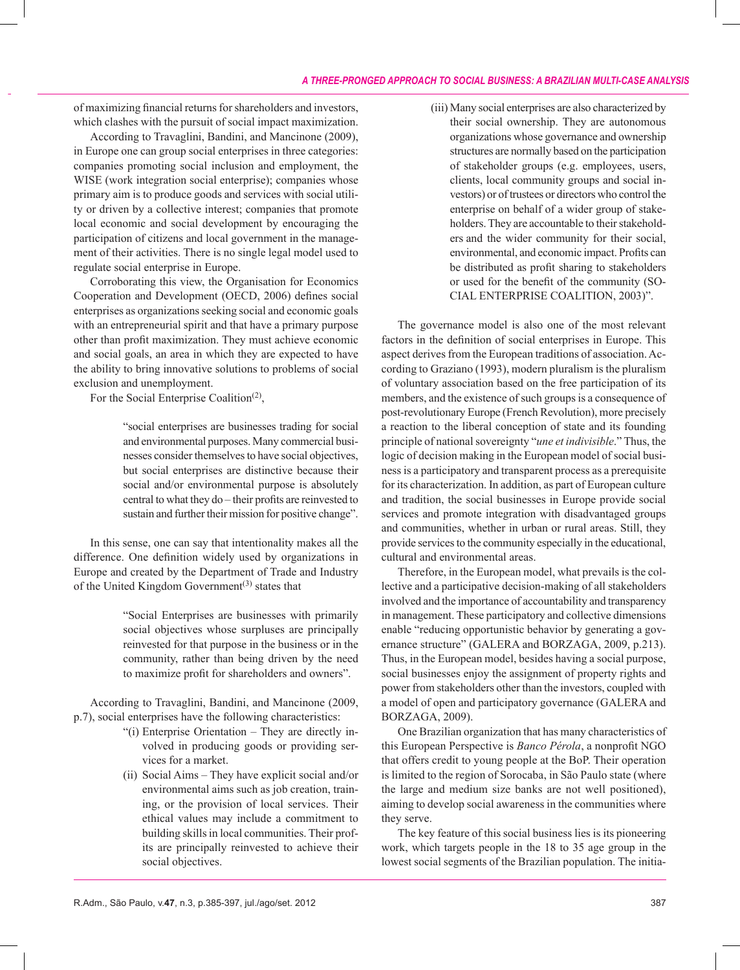of maximizing financial returns for shareholders and investors, which clashes with the pursuit of social impact maximization.

According to Travaglini, Bandini, and Mancinone (2009), in Europe one can group social enterprises in three categories: companies promoting social inclusion and employment, the WISE (work integration social enterprise); companies whose primary aim is to produce goods and services with social utility or driven by a collective interest; companies that promote local economic and social development by encouraging the participation of citizens and local government in the management of their activities. There is no single legal model used to regulate social enterprise in Europe.

Corroborating this view, the Organisation for Economics Cooperation and Development (OECD, 2006) defines social enterprises as organizations seeking social and economic goals with an entrepreneurial spirit and that have a primary purpose other than profit maximization. They must achieve economic and social goals, an area in which they are expected to have the ability to bring innovative solutions to problems of social exclusion and unemployment.

For the Social Enterprise Coalition<sup>(2)</sup>,

"social enterprises are businesses trading for social and environmental purposes. Many commercial businesses consider themselves to have social objectives, but social enterprises are distinctive because their social and/or environmental purpose is absolutely central to what they do – their profits are reinvested to sustain and further their mission for positive change".

In this sense, one can say that intentionality makes all the difference. One definition widely used by organizations in Europe and created by the Department of Trade and Industry of the United Kingdom Government<sup> $(3)$ </sup> states that

> "Social Enterprises are businesses with primarily social objectives whose surpluses are principally reinvested for that purpose in the business or in the community, rather than being driven by the need to maximize profit for shareholders and owners".

According to Travaglini, Bandini, and Mancinone (2009, p.7), social enterprises have the following characteristics:

- "(i) Enterprise Orientation They are directly involved in producing goods or providing services for a market.
- (ii) Social Aims They have explicit social and/or environmental aims such as job creation, training, or the provision of local services. Their ethical values may include a commitment to building skills in local communities. Their profits are principally reinvested to achieve their social objectives.

(iii) Many social enterprises are also characterized by their social ownership. They are autonomous organizations whose governance and ownership structures are normally based on the participation of stakeholder groups (e.g. employees, users, clients, local community groups and social investors) or of trustees or directors who control the enterprise on behalf of a wider group of stakeholders. They are accountable to their stakehold ers and the wider community for their social, environmental, and economic impact. Profits can be distributed as profit sharing to stakeholders or used for the benefit of the community (SO-CIAL ENTERPRISE COALITION, 2003)".

The governance model is also one of the most relevant factors in the definition of social enterprises in Europe. This aspect derives from the European traditions of association. According to Graziano (1993), modern pluralism is the pluralism of voluntary association based on the free participation of its members, and the existence of such groups is a consequence of post-revolutionary Europe (French Revolution), more precisely a reaction to the liberal conception of state and its founding principle of national sovereignty "*une et indivisible*." Thus, the logic of decision making in the European model of social business is a participatory and transparent process as a prerequisite for its characterization. In addition, as part of European culture and tradition, the social businesses in Europe provide social services and promote integration with disadvantaged groups and communities, whether in urban or rural areas. Still, they provide services to the community especially in the educational, cultural and environmental areas.

Therefore, in the European model, what prevails is the collective and a participative decision-making of all stakeholders involved and the importance of accountability and transparency in management. These participatory and collective dimensions enable "reducing opportunistic behavior by generating a governance structure" (GALERA and BORZAGA, 2009, p.213). Thus, in the European model, besides having a social purpose, social businesses enjoy the assignment of property rights and power from stakeholders other than the investors, coupled with a model of open and participatory governance (GALERA and BORZAGA, 2009).

One Brazilian organization that has many characteristics of this European Perspective is *Banco Pérola*, a nonprofit NGO that offers credit to young people at the BoP. Their operation is limited to the region of Sorocaba, in São Paulo state (where the large and medium size banks are not well positioned), aiming to develop social awareness in the communities where they serve.

The key feature of this social business lies is its pioneering work, which targets people in the 18 to 35 age group in the lowest social segments of the Brazilian population. The initia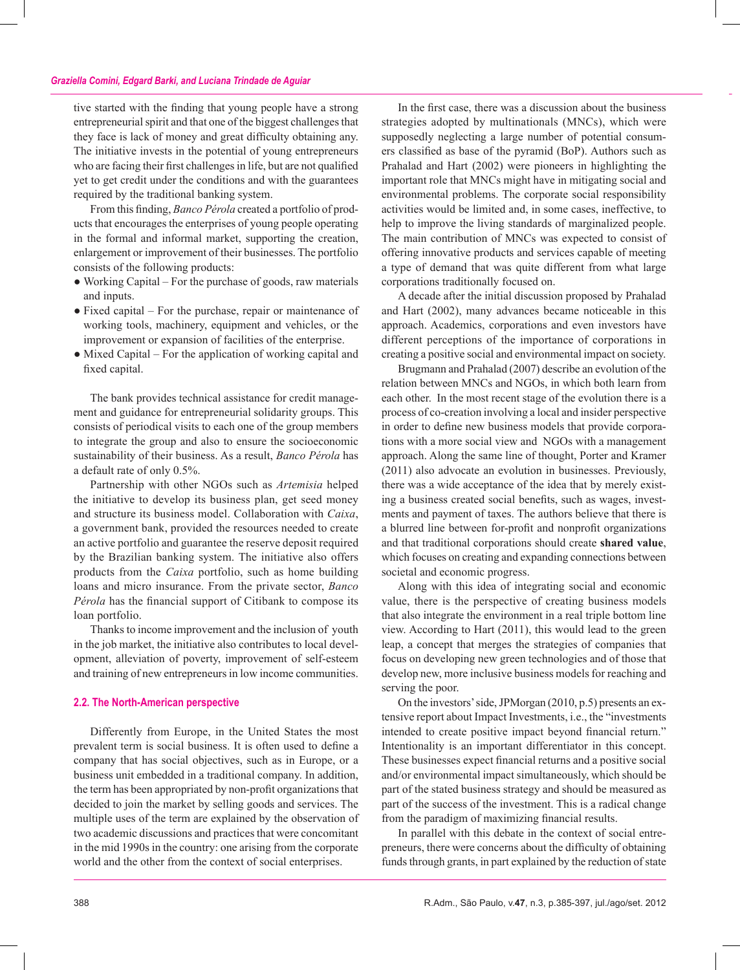tive started with the finding that young people have a strong entrepreneurial spirit and that one of the biggest challenges that they face is lack of money and great difficulty obtaining any. The initiative invests in the potential of young entrepreneurs who are facing their first challenges in life, but are not qualified yet to get credit under the conditions and with the guarantees required by the traditional banking system.

From this finding, *Banco Pérola* created a portfolio of products that encourages the enterprises of young people operating in the formal and informal market, supporting the creation, enlargement or improvement of their businesses. The portfolio consists of the following products:

- $\bullet$  Working Capital For the purchase of goods, raw materials and inputs.
- Fixed capital For the purchase, repair or maintenance of working tools, machinery, equipment and vehicles, or the improvement or expansion of facilities of the enterprise.
- Mixed Capital For the application of working capital and fixed capital.

The bank provides technical assistance for credit management and guidance for entrepreneurial solidarity groups. This consists of periodical visits to each one of the group members to integrate the group and also to ensure the socioeconomic sustainability of their business. As a result, *Banco Pérola* has a default rate of only 0.5%.

Partnership with other NGOs such as *Artemisia* helped the initiative to develop its business plan, get seed money and structure its business model. Collaboration with *Caixa*, a government bank, provided the resources needed to create an active portfolio and guarantee the reserve deposit required by the Brazilian banking system. The initiative also offers products from the *Caixa* portfolio, such as home building loans and micro insurance. From the private sector, *Banco Pérola* has the financial support of Citibank to compose its loan portfolio.

Thanks to income improvement and the inclusion of youth in the job market, the initiative also contributes to local development, alleviation of poverty, improvement of self-esteem and training of new entrepreneurs in low income communities.

#### **2.2. The North-American perspective**

Differently from Europe, in the United States the most prevalent term is social business. It is often used to define a company that has social objectives, such as in Europe, or a business unit embedded in a traditional company. In addition, the term has been appropriated by non-profit organizations that decided to join the market by selling goods and services. The multiple uses of the term are explained by the observation of two academic discussions and practices that were concomitant in the mid 1990s in the country: one arising from the corporate world and the other from the context of social enterprises.

In the first case, there was a discussion about the business strategies adopted by multinationals (MNCs), which were supposedly neglecting a large number of potential consumers classified as base of the pyramid (BoP). Authors such as Prahalad and Hart (2002) were pioneers in highlighting the important role that MNCs might have in mitigating social and environmental problems. The corporate social responsibility activities would be limited and, in some cases, ineffective, to help to improve the living standards of marginalized people. The main contribution of MNCs was expected to consist of offering innovative products and services capable of meeting a type of demand that was quite different from what large corporations traditionally focused on.

A decade after the initial discussion proposed by Prahalad and Hart (2002), many advances became noticeable in this approach. Academics, corporations and even investors have different perceptions of the importance of corporations in creating a positive social and environmental impact on society.

Brugmann and Prahalad (2007) describe an evolution of the relation between MNCs and NGOs, in which both learn from each other. In the most recent stage of the evolution there is a process of co-creation involving a local and insider perspective in order to define new business models that provide corporations with a more social view and NGOs with a management approach. Along the same line of thought, Porter and Kramer (2011) also advocate an evolution in businesses. Previously, there was a wide acceptance of the idea that by merely existing a business created social benefits, such as wages, investments and payment of taxes. The authors believe that there is a blurred line between for-profit and nonprofit organizations and that traditional corporations should create **shared value**, which focuses on creating and expanding connections between societal and economic progress.

Along with this idea of integrating social and economic value, there is the perspective of creating business models that also integrate the environment in a real triple bottom line view. According to Hart (2011), this would lead to the green leap, a concept that merges the strategies of companies that focus on developing new green technologies and of those that develop new, more inclusive business models for reaching and serving the poor.

On the investors' side, JPMorgan (2010, p.5) presents an extensive report about Impact Investments, i.e., the "investments intended to create positive impact beyond financial return." Intentionality is an important differentiator in this concept. These businesses expect financial returns and a positive social and/or environmental impact simultaneously, which should be part of the stated business strategy and should be measured as part of the success of the investment. This is a radical change from the paradigm of maximizing financial results.

In parallel with this debate in the context of social entrepreneurs, there were concerns about the difficulty of obtaining funds through grants, in part explained by the reduction of state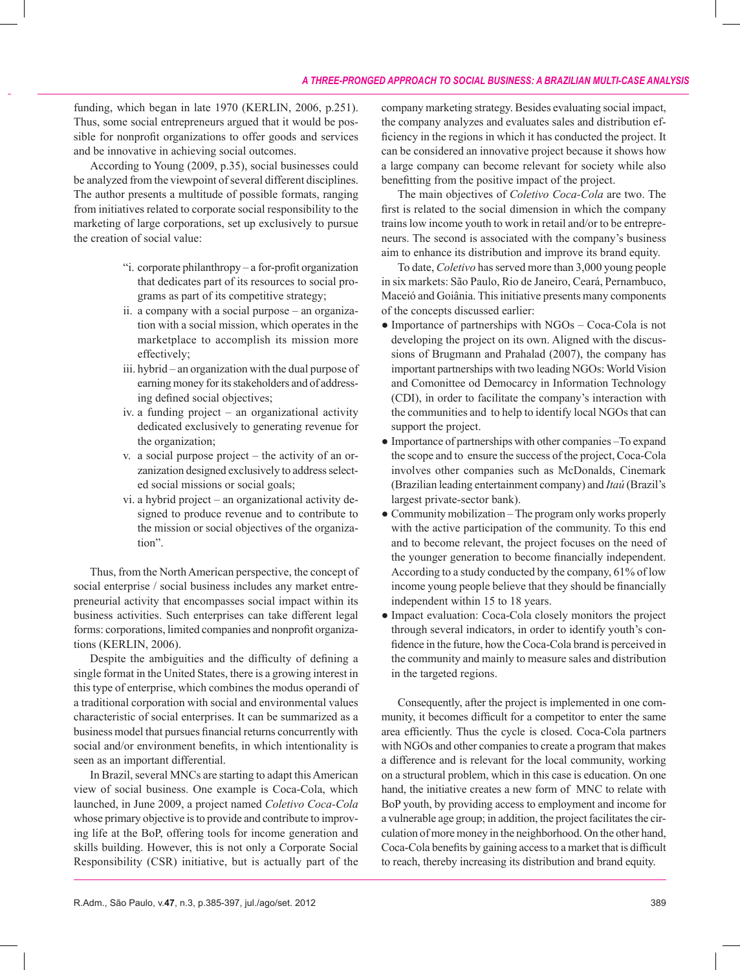funding, which began in late 1970 (KERLIN, 2006, p.251). Thus, some social entrepreneurs argued that it would be possible for nonprofit organizations to offer goods and services and be innovative in achieving social outcomes.

According to Young (2009, p.35), social businesses could be analyzed from the viewpoint of several different disciplines. The author presents a multitude of possible formats, ranging from initiatives related to corporate social responsibility to the marketing of large corporations, set up exclusively to pursue the creation of social value:

- "i. corporate philanthropy a for-profit organization that dedicates part of its resources to social programs as part of its competitive strategy;
- ii. a company with a social purpose an organization with a social mission, which operates in the marketplace to accomplish its mission more effectively;
- iii. hybrid an organization with the dual purpose of earning money for its stakeholders and of addressing defined social objectives;
- iv. a funding project an organizational activity dedicated exclusively to generating revenue for the organization;
- v. a social purpose project the activity of an orzanization designed exclusively to address selected social missions or social goals;
- vi. a hybrid project an organizational activity designed to produce revenue and to contribute to the mission or social objectives of the organization".

Thus, from the North American perspective, the concept of social enterprise / social business includes any market entrepreneurial activity that encompasses social impact within its business activities. Such enterprises can take different legal forms: corporations, limited companies and nonprofit organizations (KERLIN, 2006).

Despite the ambiguities and the difficulty of defining a single format in the United States, there is a growing interest in this type of enterprise, which combines the modus operandi of a traditional corporation with social and environmental values characteristic of social enterprises. It can be summarized as a business model that pursues financial returns concurrently with social and/or environment benefits, in which intentionality is seen as an important differential.

In Brazil, several MNCs are starting to adapt this American view of social business. One example is Coca-Cola, which launched, in June 2009, a project named *Coletivo Coca-Cola* whose primary objective is to provide and contribute to improving life at the BoP, offering tools for income generation and skills building. However, this is not only a Corporate Social Responsibility (CSR) initiative, but is actually part of the company marketing strategy. Besides evaluating social impact, the company analyzes and evaluates sales and distribution efficiency in the regions in which it has conducted the project. It can be considered an innovative project because it shows how a large company can become relevant for society while also benefitting from the positive impact of the project.

The main objectives of *Coletivo Coca-Cola* are two. The first is related to the social dimension in which the company trains low income youth to work in retail and/or to be entrepreneurs. The second is associated with the company's business aim to enhance its distribution and improve its brand equity.

To date, *Coletivo* has served more than 3,000 young people in six markets: São Paulo, Rio de Janeiro, Ceará, Pernambuco, Maceió and Goiânia. This initiative presents many components of the concepts discussed earlier:

- Importance of partnerships with NGOs Coca-Cola is not developing the project on its own. Aligned with the discussions of Brugmann and Prahalad (2007), the company has important partnerships with two leading NGOs: World Vision and Comonittee od Democarcy in Information Technology (CDI), in order to facilitate the company's interaction with the communities and to help to identify local NGOs that can support the project.
- Importance of partnerships with other companies To expand the scope and to ensure the success of the project, Coca-Cola involves other companies such as McDonalds, Cinemark (Brazilian leading entertainment company) and *Itaú* (Brazil's largest private-sector bank).
- Community mobilization The program only works properly with the active participation of the community. To this end and to become relevant, the project focuses on the need of the younger generation to become financially independent. According to a study conducted by the company, 61% of low income young people believe that they should be financially independent within 15 to 18 years.
- Impact evaluation: Coca-Cola closely monitors the project through several indicators, in order to identify youth's confidence in the future, how the Coca-Cola brand is perceived in the community and mainly to measure sales and distribution in the targeted regions.

Consequently, after the project is implemented in one community, it becomes difficult for a competitor to enter the same area efficiently. Thus the cycle is closed. Coca-Cola partners with NGOs and other companies to create a program that makes a difference and is relevant for the local community, working on a structural problem, which in this case is education. On one hand, the initiative creates a new form of MNC to relate with BoP youth, by providing access to employment and income for a vulnerable age group; in addition, the project facilitates the circulation of more money in the neighborhood. On the other hand, Coca-Cola benefits by gaining access to a market that is difficult to reach, thereby increasing its distribution and brand equity.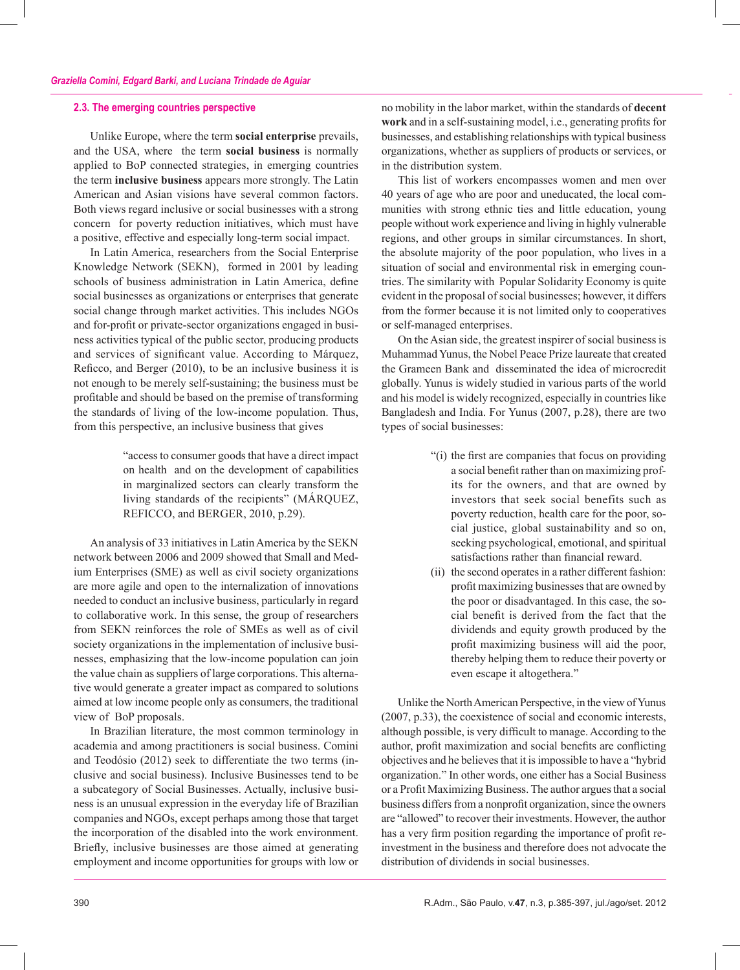#### **2.3. The emerging countries perspective**

Unlike Europe, where the term **social enterprise** prevails, and the USA, where the term **social business** is normally applied to BoP connected strategies, in emerging countries the term **inclusive business** appears more strongly. The Latin American and Asian visions have several common factors. Both views regard inclusive or social businesses with a strong concern for poverty reduction initiatives, which must have a positive, effective and especially long-term social impact.

In Latin America, researchers from the Social Enterprise Knowledge Network (SEKN), formed in 2001 by leading schools of business administration in Latin America, define social businesses as organizations or enterprises that generate social change through market activities. This includes NGOs and for-profit or private-sector organizations engaged in business activities typical of the public sector, producing products and services of significant value. According to Márquez, Reficco, and Berger (2010), to be an inclusive business it is not enough to be merely self-sustaining; the business must be profitable and should be based on the premise of transforming the standards of living of the low-income population. Thus, from this perspective, an inclusive business that gives

> "access to consumer goods that have a direct impact on health and on the development of capabilities in marginalized sectors can clearly transform the living standards of the recipients" (MÁRQUEZ, REFICCO, and BERGER, 2010, p.29).

An analysis of 33 initiatives in Latin America by the SEKN network between 2006 and 2009 showed that Small and Medium Enterprises (SME) as well as civil society organizations are more agile and open to the internalization of innovations needed to conduct an inclusive business, particularly in regard to collaborative work. In this sense, the group of researchers from SEKN reinforces the role of SMEs as well as of civil society organizations in the implementation of inclusive businesses, emphasizing that the low-income population can join the value chain as suppliers of large corporations. This alternative would generate a greater impact as compared to solutions aimed at low income people only as consumers, the traditional view of BoP proposals.

In Brazilian literature, the most common terminology in academia and among practitioners is social business. Comini and Teodósio (2012) seek to differentiate the two terms (inclusive and social business). Inclusive Businesses tend to be a subcategory of Social Businesses. Actually, inclusive business is an unusual expression in the everyday life of Brazilian companies and NGOs, except perhaps among those that target the incorporation of the disabled into the work environment. Briefly, inclusive businesses are those aimed at generating employment and income opportunities for groups with low or

no mobility in the labor market, within the standards of **decent work** and in a self-sustaining model, i.e., generating profits for businesses, and establishing relationships with typical business organizations, whether as suppliers of products or services, or in the distribution system.

This list of workers encompasses women and men over 40 years of age who are poor and uneducated, the local communities with strong ethnic ties and little education, young people without work experience and living in highly vulnerable regions, and other groups in similar circumstances. In short, the absolute majority of the poor population, who lives in a situation of social and environmental risk in emerging countries. The similarity with Popular Solidarity Economy is quite evident in the proposal of social businesses; however, it differs from the former because it is not limited only to cooperatives or self-managed enterprises.

On the Asian side, the greatest inspirer of social business is Muhammad Yunus, the Nobel Peace Prize laureate that created the Grameen Bank and disseminated the idea of microcredit globally. Yunus is widely studied in various parts of the world and his model is widely recognized, especially in countries like Bangladesh and India. For Yunus (2007, p.28), there are two types of social businesses:

- "(i) the first are companies that focus on providing a social benefit rather than on maximizing profits for the owners, and that are owned by investors that seek social benefits such as poverty reduction, health care for the poor, social justice, global sustainability and so on, seeking psychological, emotional, and spiritual satisfactions rather than financial reward.
- (ii) the second operates in a rather different fashion: profit maximizing businesses that are owned by the poor or disadvantaged. In this case, the social benefit is derived from the fact that the dividends and equity growth produced by the profit maximizing business will aid the poor, thereby helping them to reduce their poverty or even escape it altogethera."

Unlike the North American Perspective, in the view of Yunus (2007, p.33), the coexistence of social and economic interests, although possible, is very difficult to manage. According to the author, profit maximization and social benefits are conflicting objectives and he believes that it is impossible to have a "hybrid organization." In other words, one either has a Social Business or a Profit Maximizing Business. The author argues that a social business differs from a nonprofit organization, since the owners are "allowed" to recover their investments. However, the author has a very firm position regarding the importance of profit reinvestment in the business and therefore does not advocate the distribution of dividends in social businesses.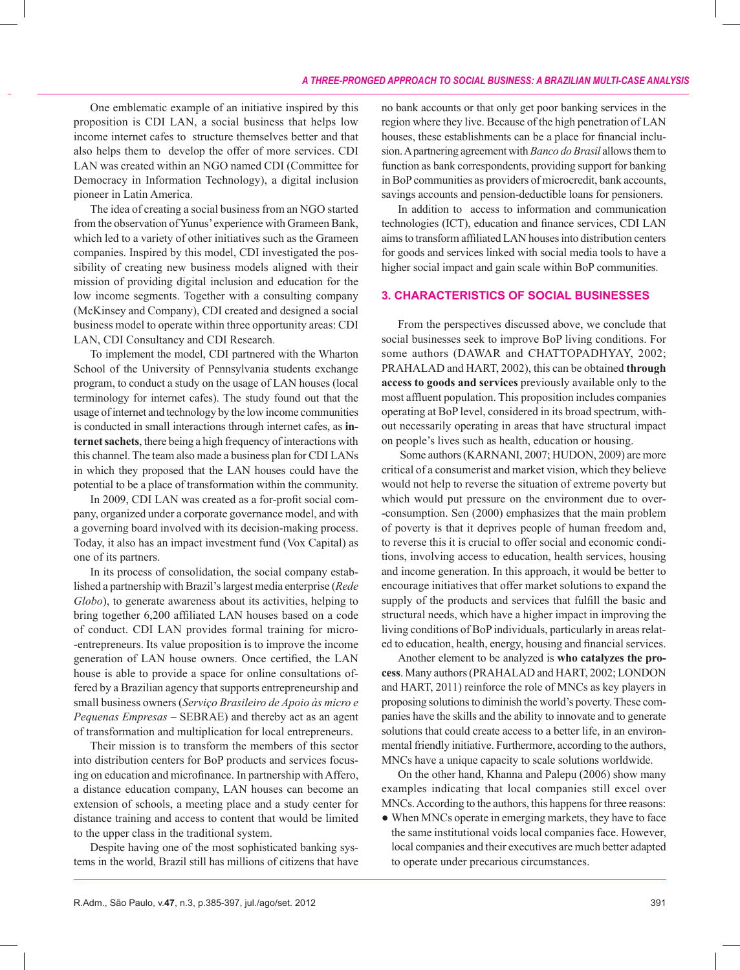One emblematic example of an initiative inspired by this proposition is CDI LAN, a social business that helps low income internet cafes to structure themselves better and that also helps them to develop the offer of more services. CDI LAN was created within an NGO named CDI (Committee for Democracy in Information Technology), a digital inclusion pioneer in Latin America.

The idea of creating a social business from an NGO started from the observation of Yunus' experience with Grameen Bank, which led to a variety of other initiatives such as the Grameen companies. Inspired by this model, CDI investigated the possibility of creating new business models aligned with their mission of providing digital inclusion and education for the low income segments. Together with a consulting company (McKinsey and Company), CDI created and designed a social business model to operate within three opportunity areas: CDI LAN, CDI Consultancy and CDI Research.

To implement the model, CDI partnered with the Wharton School of the University of Pennsylvania students exchange program, to conduct a study on the usage of LAN houses (local terminology for internet cafes). The study found out that the usage of internet and technology by the low income communities is conducted in small interactions through internet cafes, as **internet sachets**, there being a high frequency of interactions with this channel. The team also made a business plan for CDI LANs in which they proposed that the LAN houses could have the potential to be a place of transformation within the community.

In 2009, CDI LAN was created as a for-profit social company, organized under a corporate governance model, and with a governing board involved with its decision-making process. Today, it also has an impact investment fund (Vox Capital) as one of its partners.

In its process of consolidation, the social company established a partnership with Brazil's largest media enterprise (*Rede Globo*), to generate awareness about its activities, helping to bring together 6,200 affiliated LAN houses based on a code of conduct. CDI LAN provides formal training for micro- -entrepreneurs. Its value proposition is to improve the income generation of LAN house owners. Once certified, the LAN house is able to provide a space for online consultations offered by a Brazilian agency that supports entrepreneurship and small business owners (*Serviço Brasileiro de Apoio às micro e Pequenas Empresas* – SEBRAE) and thereby act as an agent of transformation and multiplication for local entrepreneurs.

Their mission is to transform the members of this sector into distribution centers for BoP products and services focusing on education and microfinance. In partnership with Affero, a distance education company, LAN houses can become an extension of schools, a meeting place and a study center for distance training and access to content that would be limited to the upper class in the traditional system.

Despite having one of the most sophisticated banking systems in the world, Brazil still has millions of citizens that have no bank accounts or that only get poor banking services in the region where they live. Because of the high penetration of LAN houses, these establishments can be a place for financial inclusion. A partnering agreement with *Banco do Brasil* allows them to function as bank correspondents, providing support for banking in BoP communities as providers of microcredit, bank accounts, savings accounts and pension-deductible loans for pensioners.

In addition to access to information and communication technologies (ICT), education and finance services, CDI LAN aims to transform affiliated LAN houses into distribution centers for goods and services linked with social media tools to have a higher social impact and gain scale within BoP communities.

## **3. CHARACTERISTICS OF SOCIAL BUSINESSES**

From the perspectives discussed above, we conclude that social businesses seek to improve BoP living conditions. For some authors (DAWAR and CHATTOPADHYAY, 2002; PRAHALAD and HART, 2002), this can be obtained **through access to goods and services** previously available only to the most affluent population. This proposition includes companies operating at BoP level, considered in its broad spectrum, without necessarily operating in areas that have structural impact on people's lives such as health, education or housing.

 Some authors (KARNANI, 2007; HUDON, 2009) are more critical of a consumerist and market vision, which they believe would not help to reverse the situation of extreme poverty but which would put pressure on the environment due to over--consumption. Sen (2000) emphasizes that the main problem of poverty is that it deprives people of human freedom and, to reverse this it is crucial to offer social and economic conditions, involving access to education, health services, housing and income generation. In this approach, it would be better to encourage initiatives that offer market solutions to expand the supply of the products and services that fulfill the basic and structural needs, which have a higher impact in improving the living conditions of BoP individuals, particularly in areas related to education, health, energy, housing and financial services.

Another element to be analyzed is **who catalyzes the process**. Many authors (PRAHALAD and HART, 2002; LONDON and HART, 2011) reinforce the role of MNCs as key players in proposing solutions to diminish the world's poverty. These companies have the skills and the ability to innovate and to generate solutions that could create access to a better life, in an environmental friendly initiative. Furthermore, according to the authors, MNCs have a unique capacity to scale solutions worldwide.

On the other hand, Khanna and Palepu (2006) show many examples indicating that local companies still excel over MNCs. According to the authors, this happens for three reasons:

• When MNCs operate in emerging markets, they have to face the same institutional voids local companies face. However, local companies and their executives are much better adapted to operate under precarious circumstances.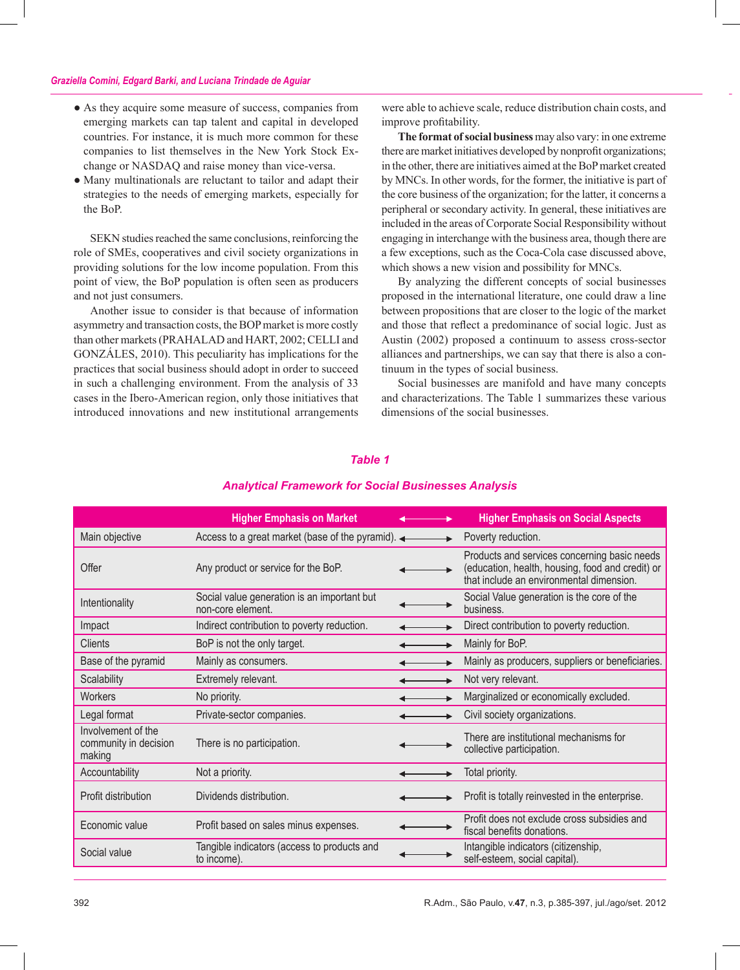- As they acquire some measure of success, companies from emerging markets can tap talent and capital in developed countries. For instance, it is much more common for these companies to list themselves in the New York Stock Exchange or NASDAQ and raise money than vice-versa.
- Many multinationals are reluctant to tailor and adapt their strategies to the needs of emerging markets, especially for the BoP.

SEKN studies reached the same conclusions, reinforcing the role of SMEs, cooperatives and civil society organizations in providing solutions for the low income population. From this point of view, the BoP population is often seen as producers and not just consumers.

Another issue to consider is that because of information asymmetry and transaction costs, the BOP market is more costly than other markets (PRAHALAD and HART, 2002; CELLI and GONZÁLES, 2010). This peculiarity has implications for the practices that social business should adopt in order to succeed in such a challenging environment. From the analysis of 33 cases in the Ibero-American region, only those initiatives that introduced innovations and new institutional arrangements

were able to achieve scale, reduce distribution chain costs, and improve profitability.

**The format of social business** may also vary: in one extreme there are market initiatives developed by nonprofit organizations; in the other, there are initiatives aimed at the BoP market created by MNCs. In other words, for the former, the initiative is part of the core business of the organization; for the latter, it concerns a peripheral or secondary activity. In general, these initiatives are included in the areas of Corporate Social Responsibility without engaging in interchange with the business area, though there are a few exceptions, such as the Coca-Cola case discussed above, which shows a new vision and possibility for MNCs.

By analyzing the different concepts of social businesses proposed in the international literature, one could draw a line between propositions that are closer to the logic of the market and those that reflect a predominance of social logic. Just as Austin (2002) proposed a continuum to assess cross-sector alliances and partnerships, we can say that there is also a continuum in the types of social business.

Social businesses are manifold and have many concepts and characterizations. The Table 1 summarizes these various dimensions of the social businesses.

|                                                       | <b>Higher Emphasis on Market</b>                                 |  | <b>Higher Emphasis on Social Aspects</b>                                                                                                     |
|-------------------------------------------------------|------------------------------------------------------------------|--|----------------------------------------------------------------------------------------------------------------------------------------------|
| Main objective                                        | Access to a great market (base of the pyramid).                  |  | Poverty reduction.                                                                                                                           |
| Offer                                                 | Any product or service for the BoP.                              |  | Products and services concerning basic needs<br>(education, health, housing, food and credit) or<br>that include an environmental dimension. |
| Intentionality                                        | Social value generation is an important but<br>non-core element. |  | Social Value generation is the core of the<br>business.                                                                                      |
| Impact                                                | Indirect contribution to poverty reduction.                      |  | Direct contribution to poverty reduction.                                                                                                    |
| Clients                                               | BoP is not the only target.                                      |  | Mainly for BoP.                                                                                                                              |
| Base of the pyramid                                   | Mainly as consumers.                                             |  | Mainly as producers, suppliers or beneficiaries.                                                                                             |
| Scalability                                           | Extremely relevant.                                              |  | Not very relevant.                                                                                                                           |
| <b>Workers</b>                                        | No priority.                                                     |  | Marginalized or economically excluded.                                                                                                       |
| Legal format                                          | Private-sector companies.                                        |  | Civil society organizations.                                                                                                                 |
| Involvement of the<br>community in decision<br>making | There is no participation.                                       |  | There are institutional mechanisms for<br>collective participation.                                                                          |
| Accountability                                        | Not a priority.                                                  |  | Total priority.                                                                                                                              |
| Profit distribution                                   | Dividends distribution.                                          |  | Profit is totally reinvested in the enterprise.                                                                                              |
| Economic value                                        | Profit based on sales minus expenses.                            |  | Profit does not exclude cross subsidies and<br>fiscal benefits donations.                                                                    |
| Social value                                          | Tangible indicators (access to products and<br>to income).       |  | Intangible indicators (citizenship,<br>self-esteem, social capital).                                                                         |

## *Analytical Framework for Social Businesses Analysis*

*Table 1*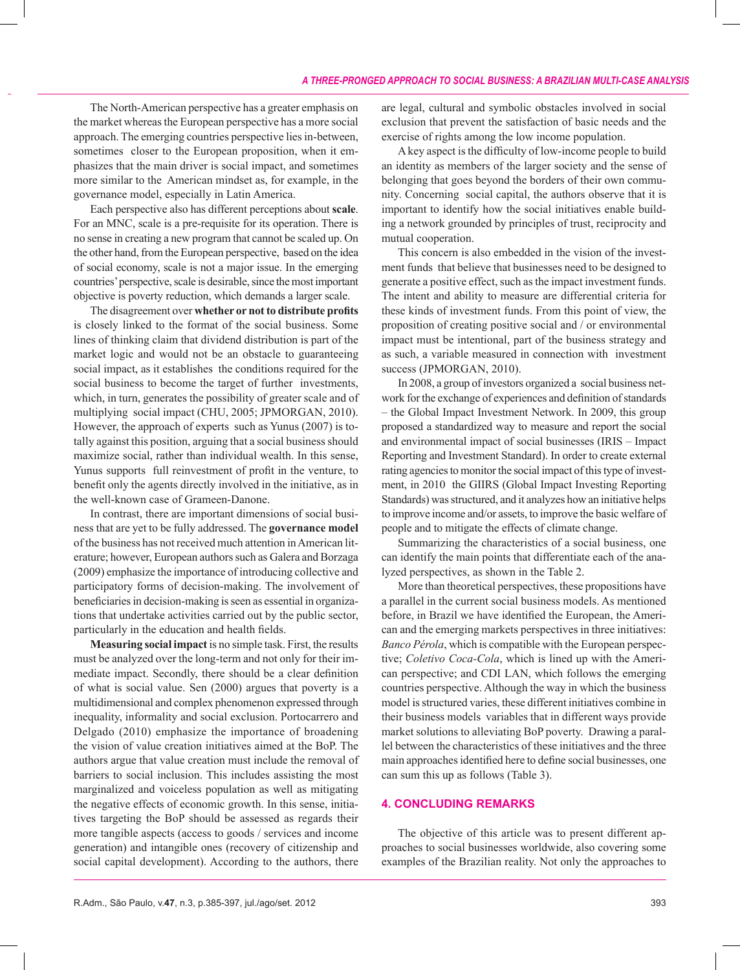The North-American perspective has a greater emphasis on the market whereas the European perspective has a more social approach. The emerging countries perspective lies in-between, sometimes closer to the European proposition, when it emphasizes that the main driver is social impact, and sometimes more similar to the American mindset as, for example, in the governance model, especially in Latin America.

Each perspective also has different perceptions about **scale**. For an MNC, scale is a pre-requisite for its operation. There is no sense in creating a new program that cannot be scaled up. On the other hand, from the European perspective, based on the idea of social economy, scale is not a major issue. In the emerging countries' perspective, scale is desirable, since the most important objective is poverty reduction, which demands a larger scale.

The disagreement over **whether or not to distribute profits** is closely linked to the format of the social business. Some lines of thinking claim that dividend distribution is part of the market logic and would not be an obstacle to guaranteeing social impact, as it establishes the conditions required for the social business to become the target of further investments, which, in turn, generates the possibility of greater scale and of multiplying social impact (CHU, 2005; JPMORGAN, 2010). However, the approach of experts such as Yunus (2007) is totally against this position, arguing that a social business should maximize social, rather than individual wealth. In this sense, Yunus supports full reinvestment of profit in the venture, to benefit only the agents directly involved in the initiative, as in the well-known case of Grameen-Danone.

In contrast, there are important dimensions of social business that are yet to be fully addressed. The **governance model** of the business has not received much attention in American literature; however, European authors such as Galera and Borzaga (2009) emphasize the importance of introducing collective and participatory forms of decision-making. The involvement of beneficiaries in decision-making is seen as essential in organizations that undertake activities carried out by the public sector, particularly in the education and health fields.

**Measuring social impact** is no simple task. First, the results must be analyzed over the long-term and not only for their immediate impact. Secondly, there should be a clear definition of what is social value. Sen (2000) argues that poverty is a multidimensional and complex phenomenon expressed through inequality, informality and social exclusion. Portocarrero and Delgado (2010) emphasize the importance of broadening the vision of value creation initiatives aimed at the BoP. The authors argue that value creation must include the removal of barriers to social inclusion. This includes assisting the most marginalized and voiceless population as well as mitigating the negative effects of economic growth. In this sense, initiatives targeting the BoP should be assessed as regards their more tangible aspects (access to goods / services and income generation) and intangible ones (recovery of citizenship and social capital development). According to the authors, there

are legal, cultural and symbolic obstacles involved in social exclusion that prevent the satisfaction of basic needs and the exercise of rights among the low income population.

A key aspect is the difficulty of low-income people to build an identity as members of the larger society and the sense of belonging that goes beyond the borders of their own community. Concerning social capital, the authors observe that it is important to identify how the social initiatives enable building a network grounded by principles of trust, reciprocity and mutual cooperation.

This concern is also embedded in the vision of the investment funds that believe that businesses need to be designed to generate a positive effect, such as the impact investment funds. The intent and ability to measure are differential criteria for these kinds of investment funds. From this point of view, the proposition of creating positive social and / or environmental impact must be intentional, part of the business strategy and as such, a variable measured in connection with investment success (JPMORGAN, 2010).

In 2008, a group of investors organized a social business network for the exchange of experiences and definition of standards – the Global Impact Investment Network. In 2009, this group proposed a standardized way to measure and report the social and environmental impact of social businesses (IRIS – Impact Reporting and Investment Standard). In order to create external rating agencies to monitor the social impact of this type of investment, in 2010 the GIIRS (Global Impact Investing Reporting Standards) was structured, and it analyzes how an initiative helps to improve income and/or assets, to improve the basic welfare of people and to mitigate the effects of climate change.

Summarizing the characteristics of a social business, one can identify the main points that differentiate each of the analyzed perspectives, as shown in the Table 2.

More than theoretical perspectives, these propositions have a parallel in the current social business models. As mentioned before, in Brazil we have identified the European, the American and the emerging markets perspectives in three initiatives: *Banco Pérola*, which is compatible with the European perspective; *Coletivo Coca-Cola*, which is lined up with the American perspective; and CDI LAN, which follows the emerging countries perspective. Although the way in which the business model is structured varies, these different initiatives combine in their business models variables that in different ways provide market solutions to alleviating BoP poverty. Drawing a parallel between the characteristics of these initiatives and the three main approaches identified here to define social businesses, one can sum this up as follows (Table 3).

#### **4. CONCLUDING REMARKS**

The objective of this article was to present different approaches to social businesses worldwide, also covering some examples of the Brazilian reality. Not only the approaches to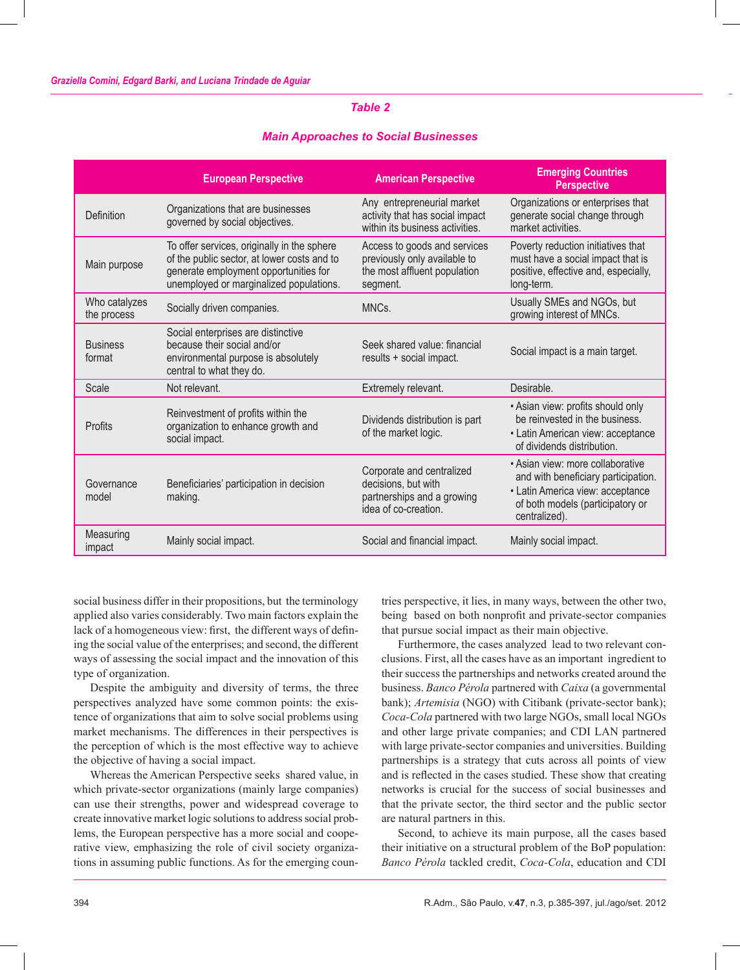# *Table 2*

## *Main Approaches to Social Businesses*

|                              | <b>European Perspective</b>                                                                                                                                                    | <b>American Perspective</b>                                                                              | <b>Emerging Countries</b><br><b>Perspective</b>                                                                                                                  |
|------------------------------|--------------------------------------------------------------------------------------------------------------------------------------------------------------------------------|----------------------------------------------------------------------------------------------------------|------------------------------------------------------------------------------------------------------------------------------------------------------------------|
| Definition                   | Organizations that are businesses<br>governed by social objectives.                                                                                                            | Any entrepreneurial market<br>activity that has social impact<br>within its business activities.         | Organizations or enterprises that<br>generate social change through<br>market activities.                                                                        |
| Main purpose                 | To offer services, originally in the sphere<br>of the public sector, at lower costs and to<br>generate employment opportunities for<br>unemployed or marginalized populations. | Access to goods and services<br>previously only available to<br>the most affluent population<br>segment. | Poverty reduction initiatives that<br>must have a social impact that is<br>positive, effective and, especially,<br>long-term.                                    |
| Who catalyzes<br>the process | Socially driven companies.                                                                                                                                                     | MNC <sub>S</sub>                                                                                         | Usually SMEs and NGOs, but<br>growing interest of MNCs.                                                                                                          |
| <b>Business</b><br>format    | Social enterprises are distinctive<br>because their social and/or<br>environmental purpose is absolutely<br>central to what they do.                                           | Seek shared value: financial<br>results + social impact.                                                 | Social impact is a main target.                                                                                                                                  |
| Scale                        | Not relevant.                                                                                                                                                                  | Extremely relevant.                                                                                      | Desirable.                                                                                                                                                       |
| Profits                      | Reinvestment of profits within the<br>organization to enhance growth and<br>social impact.                                                                                     | Dividends distribution is part<br>of the market logic.                                                   | • Asian view: profits should only<br>be reinvested in the business.<br>• Latin American view: acceptance<br>of dividends distribution.                           |
| Governance<br>model          | Beneficiaries' participation in decision<br>making.                                                                                                                            | Corporate and centralized<br>decisions, but with<br>partnerships and a growing<br>idea of co-creation.   | • Asian view: more collaborative<br>and with beneficiary participation.<br>• Latin America view: acceptance<br>of both models (participatory or<br>centralized). |
| Measuring<br>impact          | Mainly social impact.                                                                                                                                                          | Social and financial impact.                                                                             | Mainly social impact.                                                                                                                                            |

social business differ in their propositions, but the terminology applied also varies considerably. Two main factors explain the lack of a homogeneous view: first, the different ways of defining the social value of the enterprises; and second, the different ways of assessing the social impact and the innovation of this type of organization.

Despite the ambiguity and diversity of terms, the three perspectives analyzed have some common points: the existence of organizations that aim to solve social problems using market mechanisms. The differences in their perspectives is the perception of which is the most effective way to achieve the objective of having a social impact.

Whereas the American Perspective seeks shared value, in which private-sector organizations (mainly large companies) can use their strengths, power and widespread coverage to create innovative market logic solutions to address social problems, the European perspective has a more social and cooperative view, emphasizing the role of civil society organizations in assuming public functions. As for the emerging countries perspective, it lies, in many ways, between the other two, being based on both nonprofit and private-sector companies that pursue social impact as their main objective.

Furthermore, the cases analyzed lead to two relevant conclusions. First, all the cases have as an important ingredient to their success the partnerships and networks created around the business. *Banco Pérola* partnered with *Caixa* (a governmental bank); *Artemisia* (NGO) with Citibank (private-sector bank); *Coca-Cola* partnered with two large NGOs, small local NGOs and other large private companies; and CDI LAN partnered with large private-sector companies and universities. Building partnerships is a strategy that cuts across all points of view and is reflected in the cases studied. These show that creating networks is crucial for the success of social businesses and that the private sector, the third sector and the public sector are natural partners in this.

Second, to achieve its main purpose, all the cases based their initiative on a structural problem of the BoP population: *Banco Pérola* tackled credit, *Coca-Cola*, education and CDI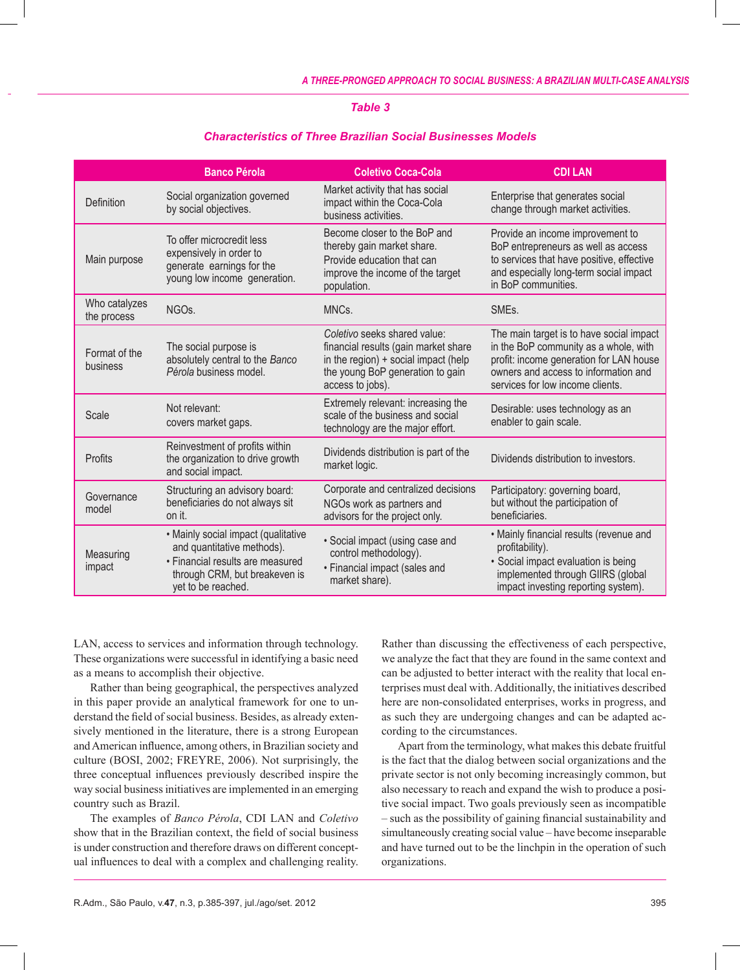# *Table 3*

# *Characteristics of Three Brazilian Social Businesses Models*

|                              | <b>Banco Pérola</b>                                                                                                                                          | <b>Coletivo Coca-Cola</b>                                                                                                                                              | <b>CDI LAN</b>                                                                                                                                                                                           |
|------------------------------|--------------------------------------------------------------------------------------------------------------------------------------------------------------|------------------------------------------------------------------------------------------------------------------------------------------------------------------------|----------------------------------------------------------------------------------------------------------------------------------------------------------------------------------------------------------|
| <b>Definition</b>            | Social organization governed<br>by social objectives.                                                                                                        | Market activity that has social<br>impact within the Coca-Cola<br>business activities.                                                                                 | Enterprise that generates social<br>change through market activities.                                                                                                                                    |
| Main purpose                 | To offer microcredit less<br>expensively in order to<br>generate earnings for the<br>young low income generation.                                            | Become closer to the BoP and<br>thereby gain market share.<br>Provide education that can<br>improve the income of the target<br>population.                            | Provide an income improvement to<br>BoP entrepreneurs as well as access<br>to services that have positive, effective<br>and especially long-term social impact<br>in BoP communities.                    |
| Who catalyzes<br>the process | NGO <sub>s</sub> .                                                                                                                                           | MNC <sub>s</sub> .                                                                                                                                                     | SME <sub>s</sub> .                                                                                                                                                                                       |
| Format of the<br>business    | The social purpose is<br>absolutely central to the Banco<br>Pérola business model.                                                                           | Coletivo seeks shared value:<br>financial results (gain market share<br>in the region) $+$ social impact (help<br>the young BoP generation to gain<br>access to jobs). | The main target is to have social impact<br>in the BoP community as a whole, with<br>profit: income generation for LAN house<br>owners and access to information and<br>services for low income clients. |
| Scale                        | Not relevant:<br>covers market gaps.                                                                                                                         | Extremely relevant: increasing the<br>scale of the business and social<br>technology are the major effort.                                                             | Desirable: uses technology as an<br>enabler to gain scale.                                                                                                                                               |
| Profits                      | Reinvestment of profits within<br>the organization to drive growth<br>and social impact.                                                                     | Dividends distribution is part of the<br>market logic.                                                                                                                 | Dividends distribution to investors.                                                                                                                                                                     |
| Governance<br>model          | Structuring an advisory board:<br>beneficiaries do not always sit<br>on it.                                                                                  | Corporate and centralized decisions<br>NGOs work as partners and<br>advisors for the project only.                                                                     | Participatory: governing board,<br>but without the participation of<br>beneficiaries.                                                                                                                    |
| Measuring<br>impact          | • Mainly social impact (qualitative<br>and quantitative methods).<br>· Financial results are measured<br>through CRM, but breakeven is<br>yet to be reached. | • Social impact (using case and<br>control methodology).<br>• Financial impact (sales and<br>market share).                                                            | • Mainly financial results (revenue and<br>profitability).<br>· Social impact evaluation is being<br>implemented through GIIRS (global<br>impact investing reporting system).                            |

LAN, access to services and information through technology. These organizations were successful in identifying a basic need as a means to accomplish their objective.

Rather than being geographical, the perspectives analyzed in this paper provide an analytical framework for one to understand the field of social business. Besides, as already extensively mentioned in the literature, there is a strong European and American influence, among others, in Brazilian society and culture (BOSI, 2002; FREYRE, 2006). Not surprisingly, the three conceptual influences previously described inspire the way social business initiatives are implemented in an emerging country such as Brazil.

The examples of *Banco Pérola*, CDI LAN and *Coletivo* show that in the Brazilian context, the field of social business is under construction and therefore draws on different conceptual influences to deal with a complex and challenging reality.

Rather than discussing the effectiveness of each perspective, we analyze the fact that they are found in the same context and can be adjusted to better interact with the reality that local enterprises must deal with. Additionally, the initiatives described here are non-consolidated enterprises, works in progress, and as such they are undergoing changes and can be adapted according to the circumstances.

Apart from the terminology, what makes this debate fruitful is the fact that the dialog between social organizations and the private sector is not only becoming increasingly common, but also necessary to reach and expand the wish to produce a positive social impact. Two goals previously seen as incompatible – such as the possibility of gaining financial sustainability and simultaneously creating social value – have become inseparable and have turned out to be the linchpin in the operation of such organizations.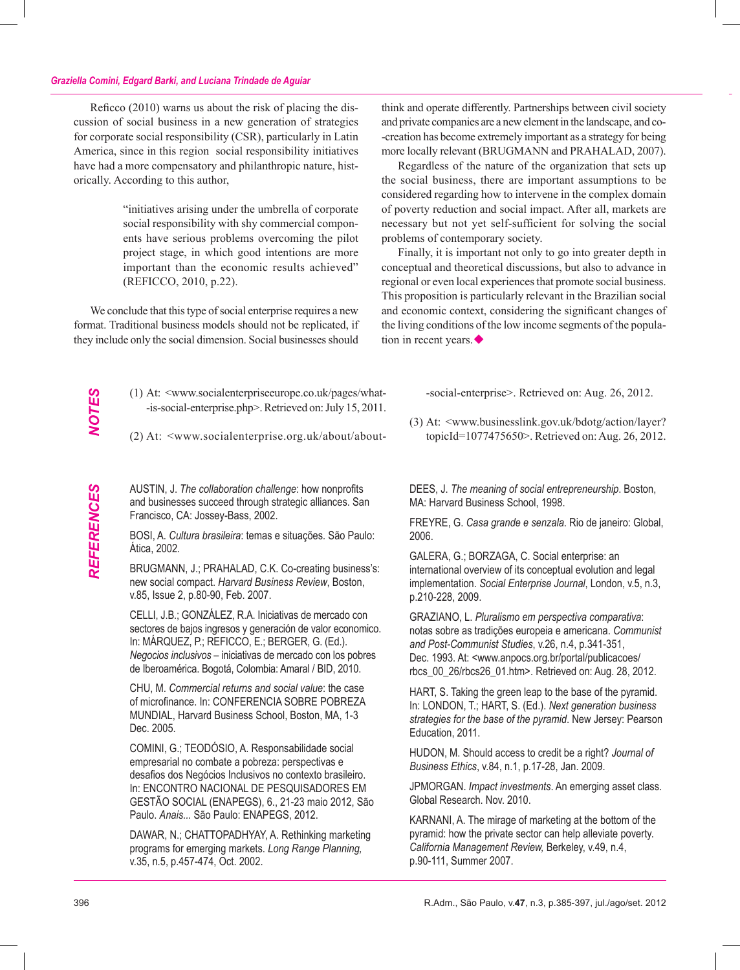## *Graziella Comini, Edgard Barki, and Luciana Trindade de Aguiar*

Reficco (2010) warns us about the risk of placing the discussion of social business in a new generation of strategies for corporate social responsibility (CSR), particularly in Latin America, since in this region social responsibility initiatives have had a more compensatory and philanthropic nature, historically. According to this author,

> "initiatives arising under the umbrella of corporate social responsibility with shy commercial components have serious problems overcoming the pilot project stage, in which good intentions are more important than the economic results achieved" (REFICCO, 2010, p.22).

We conclude that this type of social enterprise requires a new format. Traditional business models should not be replicated, if they include only the social dimension. Social businesses should

think and operate differently. Partnerships between civil society and private companies are a new element in the landscape, and cocreation has become extremely important as a strategy for being more locally relevant (BRUGMANN and PRAHALAD, 2007).

Regardless of the nature of the organization that sets up the social business, there are important assumptions to be considered regarding how to intervene in the complex domain of poverty reduction and social impact. After all, markets are necessary but not yet self-sufficient for solving the social problems of contemporary society.

Finally, it is important not only to go into greater depth in conceptual and theoretical discussions, but also to advance in regional or even local experiences that promote social business. This proposition is particularly relevant in the Brazilian social and economic context, considering the significant changes of the living conditions of the low income segments of the population in recent years.

*REFER*

*ences*

(1) At: <www.socialenterpriseeurope.co.uk/pages/what- -is-social-enterprise.php>. Retrieved on: July 15, 2011.

(2) At: <www.socialenterprise.org.uk/about/about-

AUSTIN, J. *The collaboration challenge*: how nonprofits and businesses succeed through strategic alliances. San Francisco, CA: Jossey-Bass, 2002.

BOSI, A. *Cultura brasileira*: temas e situações*.* São Paulo: Ática, 2002*.*

BRUGMANN, J.; PRAHALAD, C.K. Co-creating business's: new social compact. *Harvard Business Review*, Boston, v.85, Issue 2, p.80-90, Feb. 2007.

CELLI, J.B.; GONZÁLEZ, R.A. Iniciativas de mercado con sectores de bajos ingresos y generación de valor economico. In: MÁRQUEZ, P.; REFICCO, E.; BERGER, G. (Ed.). *Negocios inclusivos –* iniciativas de mercado con los pobres de Iberoamérica. Bogotá, Colombia: Amaral / BID, 2010.

CHU, M. *Commercial returns and social value*: the case of microfinance. In: CONFERENCIA SOBRE POBREZA MUNDIAL, Harvard Business School, Boston, MA, 1-3 Dec. 2005.

COMINI, G.; TEODÓSIO, A. Responsabilidade social empresarial no combate a pobreza: perspectivas e desafios dos Negócios Inclusivos no contexto brasileiro. In: Encontro Nacional de Pesquisadores em Gestão Social (ENAPEGS), 6., 21-23 maio 2012, São Paulo. *Anais...* São Paulo: ENAPEGS, 2012.

DAWAR, N.; CHATTOPADHYAY, A. Rethinking marketing programs for emerging markets. *Long Range Planning,*  v.35, n.5, p.457-474, Oct. 2002.

-social-enterprise>. Retrieved on: Aug. 26, 2012.

(3) At: <www.businesslink.gov.uk/bdotg/action/layer? *n*topicId=1077475650>. Retrieved on: Aug. 26, 2012.

DEES, J. *The meaning of social entrepreneurship*. Boston, MA: Harvard Business School, 1998.

FREYRE, G. *Casa grande e senzala*. Rio de janeiro: Global, 2006.

GALERA, G.; BORZAGA, C. Social enterprise: an international overview of its conceptual evolution and legal implementation. *Social Enterprise Journal*, London, v.5, n.3, p.210-228, 2009.

GRAZIANO, L. *Pluralismo em perspectiva comparativa*: notas sobre as tradições europeia e americana. *Communist and Post-Communist Studies*, v.26, n.4, p.341-351, Dec. 1993. At: <www.anpocs.org.br/portal/publicacoes/ rbcs\_00\_26/rbcs26\_01.htm>. Retrieved on: Aug. 28, 2012.

HART, S. Taking the green leap to the base of the pyramid. In: LONDON, T.; HART, S. (Ed.). *Next generation business strategies for the base of the pyramid*. New Jersey: Pearson Education, 2011.

HUDON, M. Should access to credit be a right? *Journal of Business Ethics*, v.84, n.1, p.17-28, Jan. 2009.

JPMORGAN. *Impact investments*. An emerging asset class. Global Research. Nov. 2010.

KARNANI, A. The mirage of marketing at the bottom of the pyramid: how the private sector can help alleviate poverty. *California Management Review,* Berkeley, v.49, n.4, p.90-111, Summer 2007.